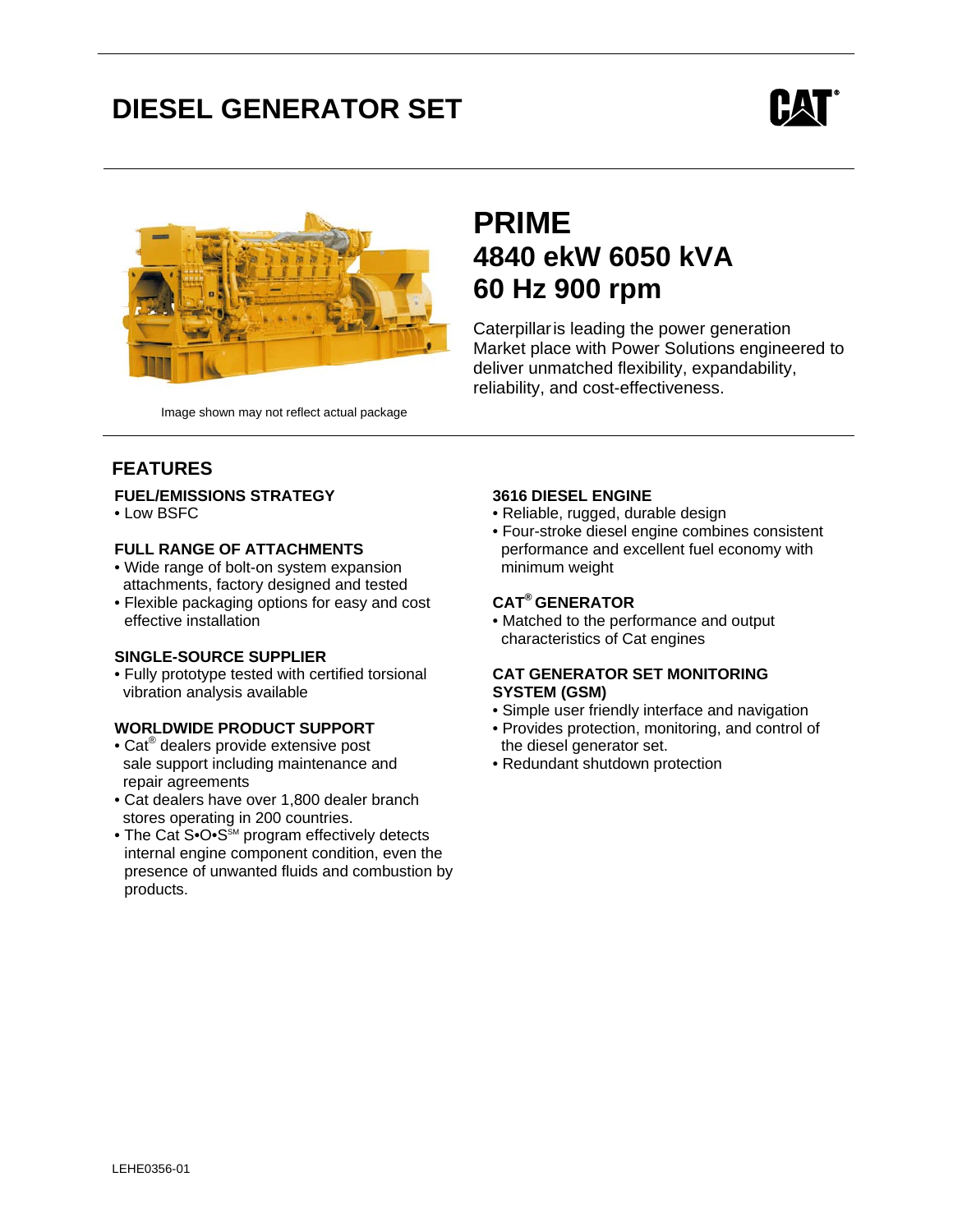# **DIESEL GENERATOR SET**





# **PRIME 4840 ekW 6050 kVA 60 Hz 900 rpm**

Caterpillaris leading the power generation Market place with Power Solutions engineered to deliver unmatched flexibility, expandability, reliability, and cost-effectiveness.

Image shown may not reflect actual package

# **FEATURES**

### **FUEL/EMISSIONS STRATEGY**

• Low BSFC

### **FULL RANGE OF ATTACHMENTS**

- Wide range of bolt-on system expansion attachments, factory designed and tested
- Flexible packaging options for easy and cost effective installation

### **SINGLE-SOURCE SUPPLIER**

• Fully prototype tested with certified torsional vibration analysis available

### **WORLDWIDE PRODUCT SUPPORT**

- Cat<sup>®</sup> dealers provide extensive post sale support including maintenance and repair agreements
- Cat dealers have over 1,800 dealer branch stores operating in 200 countries.
- The Cat S• $O \cdot S^{\text{SM}}$  program effectively detects internal engine component condition, even the presence of unwanted fluids and combustion by products.

### **3616 DIESEL ENGINE**

- Reliable, rugged, durable design
- Four-stroke diesel engine combines consistent performance and excellent fuel economy with minimum weight

## **CAT® GENERATOR**

• Matched to the performance and output characteristics of Cat engines

#### **CAT GENERATOR SET MONITORING SYSTEM (GSM)**

- Simple user friendly interface and navigation
- Provides protection, monitoring, and control of the diesel generator set.
- Redundant shutdown protection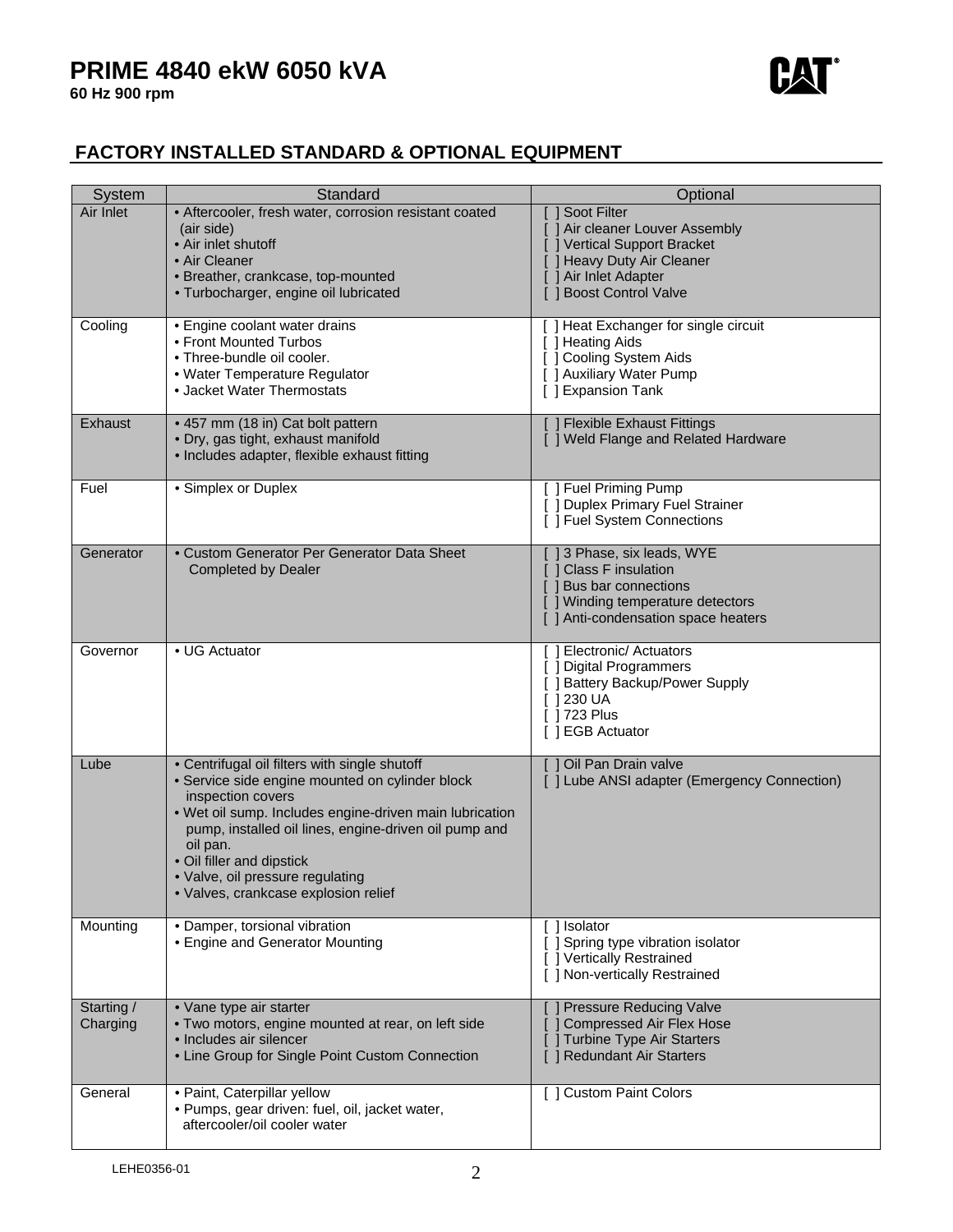

# **FACTORY INSTALLED STANDARD & OPTIONAL EQUIPMENT**

| System                 | Standard                                                                                                                                                                                                                                                                                                                                                       | Optional                                                                                                                                                              |
|------------------------|----------------------------------------------------------------------------------------------------------------------------------------------------------------------------------------------------------------------------------------------------------------------------------------------------------------------------------------------------------------|-----------------------------------------------------------------------------------------------------------------------------------------------------------------------|
| Air Inlet              | • Aftercooler, fresh water, corrosion resistant coated<br>(air side)<br>• Air inlet shutoff<br>• Air Cleaner<br>· Breather, crankcase, top-mounted<br>· Turbocharger, engine oil lubricated                                                                                                                                                                    | [ ] Soot Filter<br>[ ] Air cleaner Louver Assembly<br>  Vertical Support Bracket<br>[ ] Heavy Duty Air Cleaner<br>[ ] Air Inlet Adapter<br><b>Boost Control Valve</b> |
| Cooling                | • Engine coolant water drains<br>• Front Mounted Turbos<br>• Three-bundle oil cooler.<br>• Water Temperature Regulator<br>• Jacket Water Thermostats                                                                                                                                                                                                           | [ ] Heat Exchanger for single circuit<br>[ ] Heating Aids<br>[ ] Cooling System Aids<br>[ ] Auxiliary Water Pump<br>[ ] Expansion Tank                                |
| Exhaust                | • 457 mm (18 in) Cat bolt pattern<br>· Dry, gas tight, exhaust manifold<br>· Includes adapter, flexible exhaust fitting                                                                                                                                                                                                                                        | [ ] Flexible Exhaust Fittings<br>[ ] Weld Flange and Related Hardware                                                                                                 |
| Fuel                   | • Simplex or Duplex                                                                                                                                                                                                                                                                                                                                            | [ ] Fuel Priming Pump<br>[ ] Duplex Primary Fuel Strainer<br>[ ] Fuel System Connections                                                                              |
| Generator              | • Custom Generator Per Generator Data Sheet<br><b>Completed by Dealer</b>                                                                                                                                                                                                                                                                                      | [ ] 3 Phase, six leads, WYE<br>[ ] Class F insulation<br>[ ] Bus bar connections<br>[ ] Winding temperature detectors<br>[ ] Anti-condensation space heaters          |
| Governor               | • UG Actuator                                                                                                                                                                                                                                                                                                                                                  | [] Electronic/ Actuators<br>[ ] Digital Programmers<br>[ ] Battery Backup/Power Supply<br>$[$ 1230 UA<br>[ ] 723 Plus<br>[] EGB Actuator                              |
| Lube                   | • Centrifugal oil filters with single shutoff<br>· Service side engine mounted on cylinder block<br>inspection covers<br>. Wet oil sump. Includes engine-driven main lubrication<br>pump, installed oil lines, engine-driven oil pump and<br>oil pan.<br>• Oil filler and dipstick<br>· Valve, oil pressure regulating<br>· Valves, crankcase explosion relief | [ ] Oil Pan Drain valve<br>[ ] Lube ANSI adapter (Emergency Connection)                                                                                               |
| Mounting               | · Damper, torsional vibration<br>• Engine and Generator Mounting                                                                                                                                                                                                                                                                                               | [ ] Isolator<br>[ ] Spring type vibration isolator<br>[ ] Vertically Restrained<br>[ ] Non-vertically Restrained                                                      |
| Starting /<br>Charging | • Vane type air starter<br>. Two motors, engine mounted at rear, on left side<br>• Includes air silencer<br>• Line Group for Single Point Custom Connection                                                                                                                                                                                                    | [ ] Pressure Reducing Valve<br>[ ] Compressed Air Flex Hose<br><b>Turbine Type Air Starters</b><br>[ ] Redundant Air Starters                                         |
| General                | · Paint, Caterpillar yellow<br>· Pumps, gear driven: fuel, oil, jacket water,<br>aftercooler/oil cooler water                                                                                                                                                                                                                                                  | [ ] Custom Paint Colors                                                                                                                                               |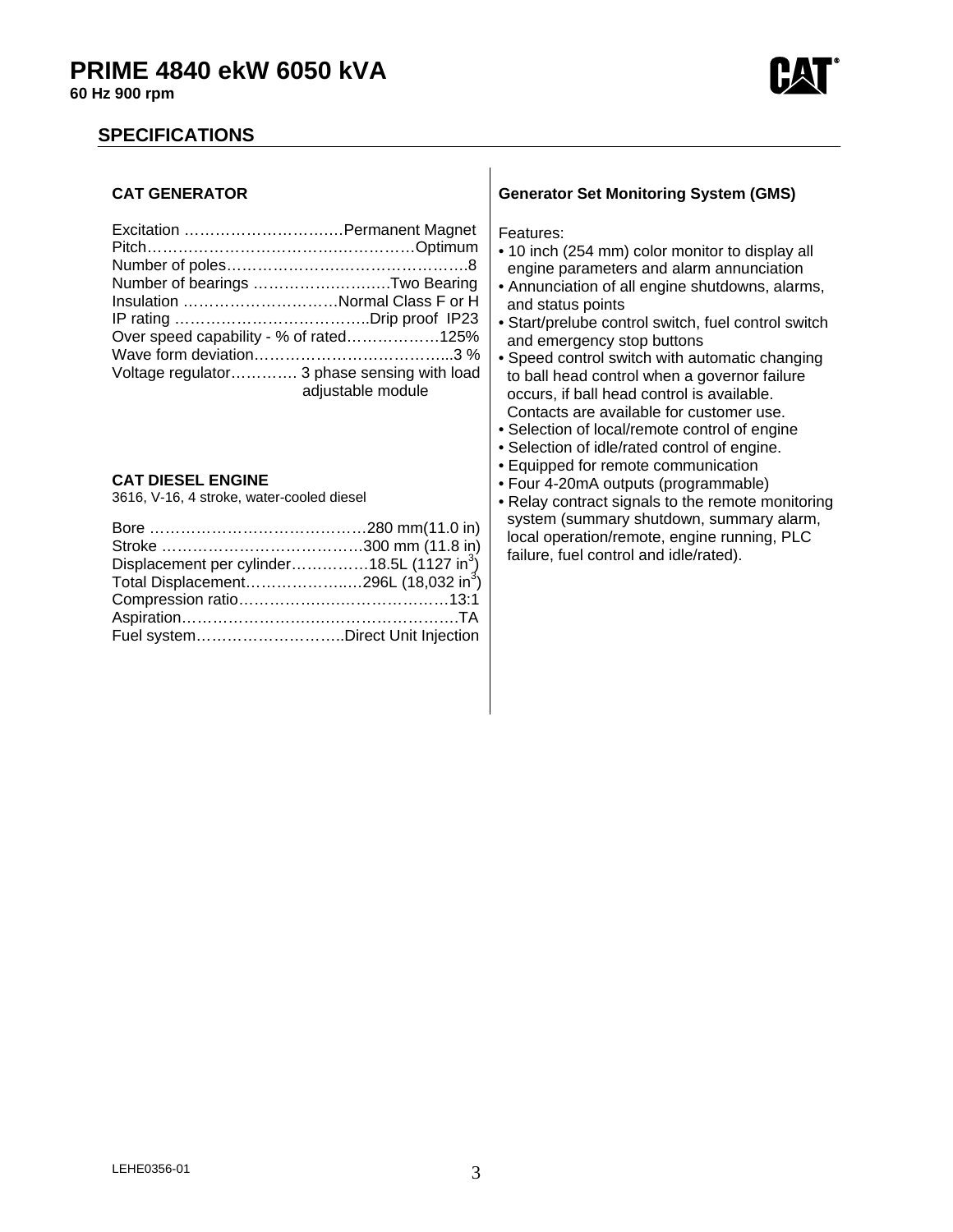

# **60 Hz 900 rpm**

### **SPECIFICATIONS**

#### **CAT GENERATOR**

| Number of bearings Two Bearing              |                   |
|---------------------------------------------|-------------------|
| Insulation Normal Class F or H              |                   |
|                                             |                   |
| Over speed capability - % of rated125%      |                   |
|                                             |                   |
| Voltage regulator 3 phase sensing with load | adjustable module |

### **CAT DIESEL ENGINE**

3616, V-16, 4 stroke, water-cooled diesel

| Displacement per cylinder18.5L (1127 in <sup>3</sup> ) |  |
|--------------------------------------------------------|--|
| Total Displacement296L (18,032 in <sup>3</sup> )       |  |
|                                                        |  |
|                                                        |  |
| Fuel systemDirect Unit Injection                       |  |

#### **Generator Set Monitoring System (GMS)**

Features:

- 10 inch (254 mm) color monitor to display all engine parameters and alarm annunciation
- Annunciation of all engine shutdowns, alarms, and status points
- Start/prelube control switch, fuel control switch and emergency stop buttons
- Speed control switch with automatic changing to ball head control when a governor failure occurs, if ball head control is available. Contacts are available for customer use.
- Selection of local/remote control of engine
- Selection of idle/rated control of engine.
- Equipped for remote communication
- Four 4-20mA outputs (programmable)
- Relay contract signals to the remote monitoring system (summary shutdown, summary alarm, local operation/remote, engine running, PLC failure, fuel control and idle/rated).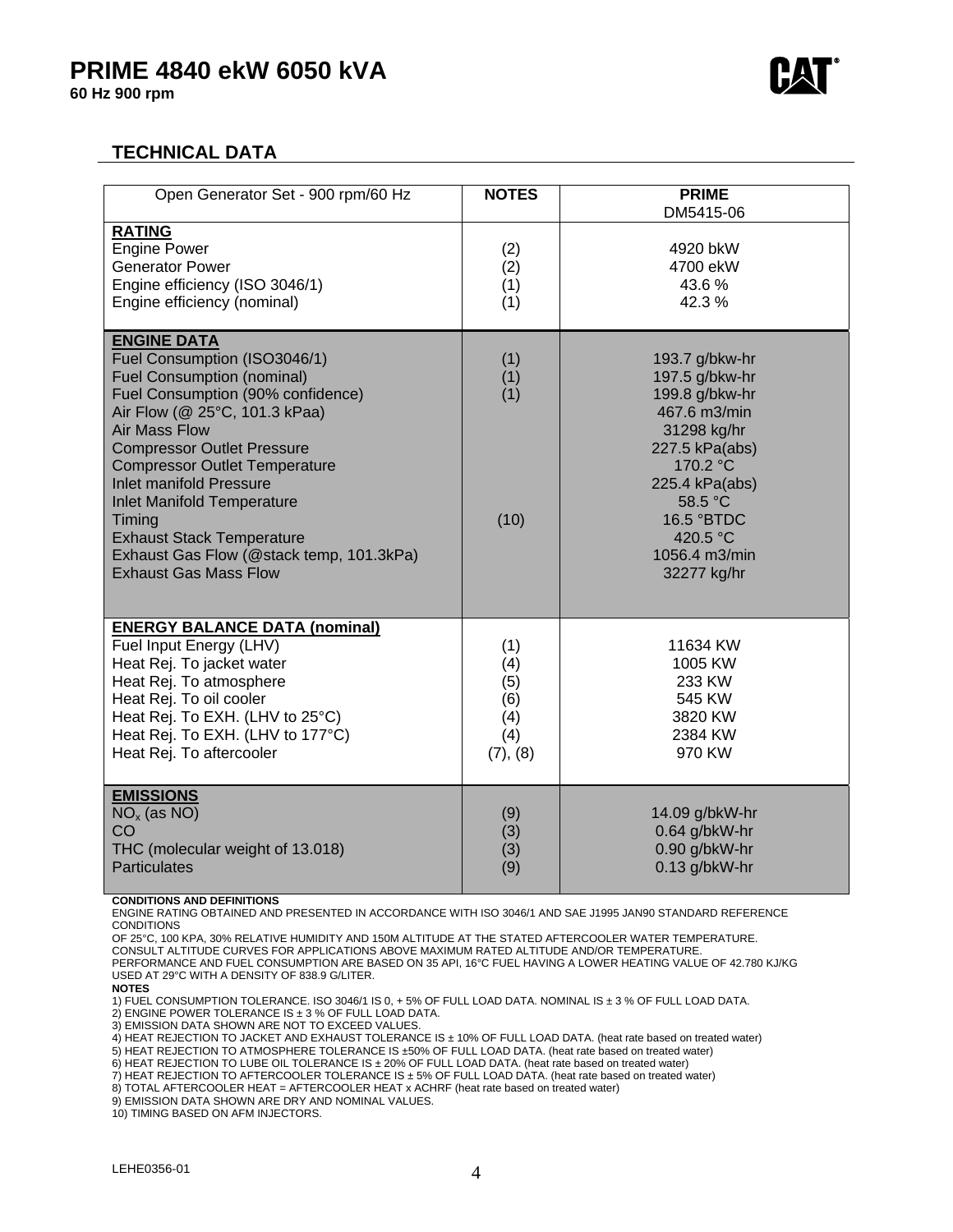

## **TECHNICAL DATA**

| Open Generator Set - 900 rpm/60 Hz                                                                                                                                                                                                                                                                                                                                                                                                                                  | <b>NOTES</b>                                       | <b>PRIME</b><br>DM5415-06                                                                                                                                                                              |
|---------------------------------------------------------------------------------------------------------------------------------------------------------------------------------------------------------------------------------------------------------------------------------------------------------------------------------------------------------------------------------------------------------------------------------------------------------------------|----------------------------------------------------|--------------------------------------------------------------------------------------------------------------------------------------------------------------------------------------------------------|
| <b>RATING</b><br><b>Engine Power</b><br><b>Generator Power</b><br>Engine efficiency (ISO 3046/1)<br>Engine efficiency (nominal)                                                                                                                                                                                                                                                                                                                                     | (2)<br>(2)<br>(1)<br>(1)                           | 4920 bkW<br>4700 ekW<br>43.6%<br>42.3%                                                                                                                                                                 |
| <b>ENGINE DATA</b><br>Fuel Consumption (ISO3046/1)<br><b>Fuel Consumption (nominal)</b><br>Fuel Consumption (90% confidence)<br>Air Flow (@ 25°C, 101.3 kPaa)<br><b>Air Mass Flow</b><br><b>Compressor Outlet Pressure</b><br><b>Compressor Outlet Temperature</b><br><b>Inlet manifold Pressure</b><br><b>Inlet Manifold Temperature</b><br>Timing<br><b>Exhaust Stack Temperature</b><br>Exhaust Gas Flow (@stack temp, 101.3kPa)<br><b>Exhaust Gas Mass Flow</b> | (1)<br>(1)<br>(1)<br>(10)                          | 193.7 g/bkw-hr<br>197.5 g/bkw-hr<br>199.8 g/bkw-hr<br>467.6 m3/min<br>31298 kg/hr<br>227.5 kPa(abs)<br>170.2 °C<br>225.4 kPa(abs)<br>58.5 °C<br>16.5 °BTDC<br>420.5 °C<br>1056.4 m3/min<br>32277 kg/hr |
| <b>ENERGY BALANCE DATA (nominal)</b><br>Fuel Input Energy (LHV)<br>Heat Rej. To jacket water<br>Heat Rej. To atmosphere<br>Heat Rej. To oil cooler<br>Heat Rej. To EXH. (LHV to 25°C)<br>Heat Rej. To EXH. (LHV to 177°C)<br>Heat Rej. To aftercooler                                                                                                                                                                                                               | (1)<br>(4)<br>(5)<br>(6)<br>(4)<br>(4)<br>(7), (8) | 11634 KW<br>1005 KW<br>233 KW<br>545 KW<br>3820 KW<br>2384 KW<br>970 KW                                                                                                                                |
| <b>EMISSIONS</b><br>$NOx$ (as NO)<br>CO<br>THC (molecular weight of 13.018)<br><b>Particulates</b>                                                                                                                                                                                                                                                                                                                                                                  | (9)<br>(3)<br>(3)<br>(9)                           | 14.09 g/bkW-hr<br>0.64 g/bkW-hr<br>0.90 g/bkW-hr<br>0.13 g/bkW-hr                                                                                                                                      |

#### **CONDITIONS AND DEFINITIONS**

ENGINE RATING OBTAINED AND PRESENTED IN ACCORDANCE WITH ISO 3046/1 AND SAE J1995 JAN90 STANDARD REFERENCE **CONDITIONS** 

OF 25°C, 100 KPA, 30% RELATIVE HUMIDITY AND 150M ALTITUDE AT THE STATED AFTERCOOLER WATER TEMPERATURE.

CONSULT ALTITUDE CURVES FOR APPLICATIONS ABOVE MAXIMUM RATED ALTITUDE AND/OR TEMPERATURE. PERFORMANCE AND FUEL CONSUMPTION ARE BASED ON 35 API, 16°C FUEL HAVING A LOWER HEATING VALUE OF 42.780 KJ/KG

USED AT 29°C WITH A DENSITY OF 838.9 G/LITER. **NOTES** 

1) FUEL CONSUMPTION TOLERANCE. ISO 3046/1 IS 0, + 5% OF FULL LOAD DATA. NOMINAL IS ± 3 % OF FULL LOAD DATA.

2) ENGINE POWER TOLERANCE IS ± 3 % OF FULL LOAD DATA.

3) EMISSION DATA SHOWN ARE NOT TO EXCEED VALUES.

4) HEAT REJECTION TO JACKET AND EXHAUST TOLERANCE IS ± 10% OF FULL LOAD DATA. (heat rate based on treated water)

5) HEAT REJECTION TO ATMOSPHERE TOLERANCE IS ±50% OF FULL LOAD DATA. (heat rate based on treated water)

6) HEAT REJECTION TO LUBE OIL TOLERANCE IS ± 20% OF FULL LOAD DATA. (heat rate based on treated water)

7) HEAT REJECTION TO AFTERCOOLER TOLERANCE IS ± 5% OF FULL LOAD DATA. (heat rate based on treated water)

8) TOTAL AFTERCOOLER HEAT = AFTERCOOLER HEAT x ACHRF (heat rate based on treated water)

9) EMISSION DATA SHOWN ARE DRY AND NOMINAL VALUES.

10) TIMING BASED ON AFM INJECTORS.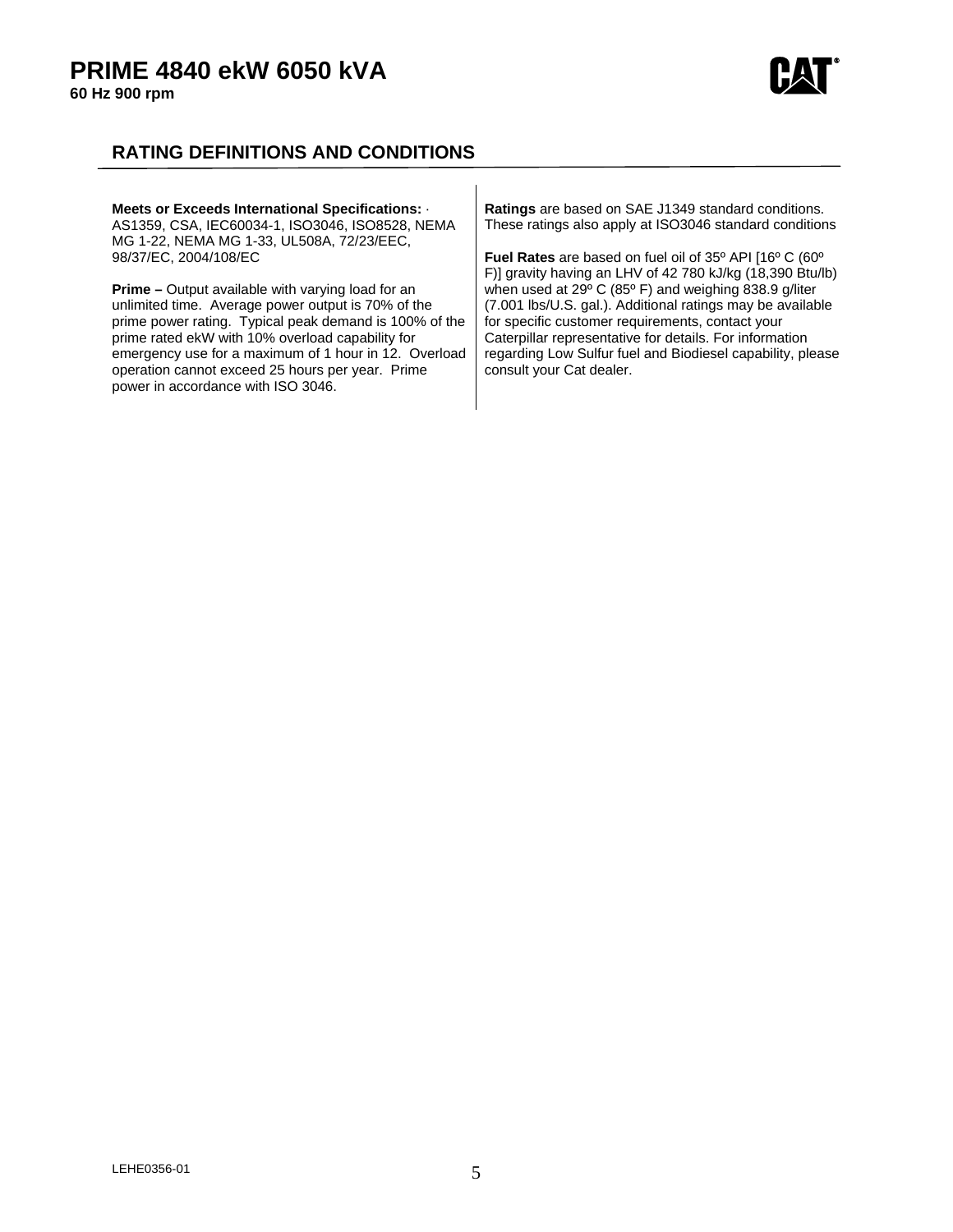**60 Hz 900 rpm** 



# **RATING DEFINITIONS AND CONDITIONS**

| Meets or Exceeds International Specifications: .<br>AS1359, CSA, IEC60034-1, ISO3046, ISO8528, NEMA<br>MG 1-22, NEMA MG 1-33, UL508A, 72/23/EEC,                                                                                                                                                                                                                                | Ratings are based on SAE J1349 standard conditions.<br>These ratings also apply at ISO3046 standard conditions                                                                                                                                                                                                                                                                            |
|---------------------------------------------------------------------------------------------------------------------------------------------------------------------------------------------------------------------------------------------------------------------------------------------------------------------------------------------------------------------------------|-------------------------------------------------------------------------------------------------------------------------------------------------------------------------------------------------------------------------------------------------------------------------------------------------------------------------------------------------------------------------------------------|
| 98/37/EC, 2004/108/EC                                                                                                                                                                                                                                                                                                                                                           | <b>Fuel Rates</b> are based on fuel oil of 35° API [16° C (60°                                                                                                                                                                                                                                                                                                                            |
| <b>Prime</b> – Output available with varying load for an<br>unlimited time. Average power output is 70% of the<br>prime power rating. Typical peak demand is 100% of the<br>prime rated ekW with 10% overload capability for<br>emergency use for a maximum of 1 hour in 12. Overload<br>operation cannot exceed 25 hours per year. Prime<br>power in accordance with ISO 3046. | F)] gravity having an LHV of 42 780 kJ/kg (18,390 Btu/lb)<br>when used at 29° C (85° F) and weighing 838.9 g/liter<br>(7.001 lbs/U.S. gal.). Additional ratings may be available<br>for specific customer requirements, contact your<br>Caterpillar representative for details. For information<br>regarding Low Sulfur fuel and Biodiesel capability, please<br>consult your Cat dealer. |